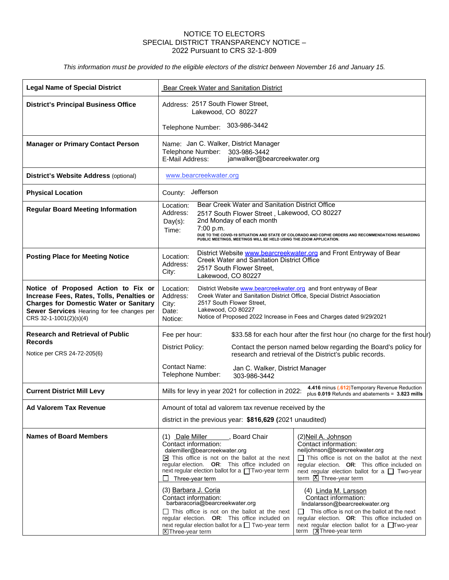## NOTICE TO ELECTORS SPECIAL DISTRICT TRANSPARENCY NOTICE – 2022 Pursuant to CRS 32-1-809

*This information must be provided to the eligible electors of the district between November 16 and January 15.*

| <b>Legal Name of Special District</b>                                                                                                                                                                     | <b>Bear Creek Water and Sanitation District</b>                                                                                                                                                                                                                                                                                                                                                                                                                                                                                                                                                                                                                                                                                                                                                                                                                                                                                                                                                                                                                                                                              |  |  |  |
|-----------------------------------------------------------------------------------------------------------------------------------------------------------------------------------------------------------|------------------------------------------------------------------------------------------------------------------------------------------------------------------------------------------------------------------------------------------------------------------------------------------------------------------------------------------------------------------------------------------------------------------------------------------------------------------------------------------------------------------------------------------------------------------------------------------------------------------------------------------------------------------------------------------------------------------------------------------------------------------------------------------------------------------------------------------------------------------------------------------------------------------------------------------------------------------------------------------------------------------------------------------------------------------------------------------------------------------------------|--|--|--|
| <b>District's Principal Business Office</b>                                                                                                                                                               | Address: 2517 South Flower Street,<br>Lakewood, CO 80227                                                                                                                                                                                                                                                                                                                                                                                                                                                                                                                                                                                                                                                                                                                                                                                                                                                                                                                                                                                                                                                                     |  |  |  |
|                                                                                                                                                                                                           | 303-986-3442<br>Telephone Number:                                                                                                                                                                                                                                                                                                                                                                                                                                                                                                                                                                                                                                                                                                                                                                                                                                                                                                                                                                                                                                                                                            |  |  |  |
| <b>Manager or Primary Contact Person</b>                                                                                                                                                                  | Name: Jan C. Walker, District Manager<br>Telephone Number:<br>303-986-3442<br>janwalker@bearcreekwater.org<br>E-Mail Address:                                                                                                                                                                                                                                                                                                                                                                                                                                                                                                                                                                                                                                                                                                                                                                                                                                                                                                                                                                                                |  |  |  |
| <b>District's Website Address (optional)</b>                                                                                                                                                              | www.bearcreekwater.org                                                                                                                                                                                                                                                                                                                                                                                                                                                                                                                                                                                                                                                                                                                                                                                                                                                                                                                                                                                                                                                                                                       |  |  |  |
| <b>Physical Location</b>                                                                                                                                                                                  | County: Jefferson                                                                                                                                                                                                                                                                                                                                                                                                                                                                                                                                                                                                                                                                                                                                                                                                                                                                                                                                                                                                                                                                                                            |  |  |  |
| <b>Regular Board Meeting Information</b>                                                                                                                                                                  | Bear Creek Water and Sanitation District Office<br>Location:<br>Address:<br>2517 South Flower Street, Lakewood, CO 80227<br>2nd Monday of each month<br>$Day(s)$ :<br>7:00 p.m.<br>Time:<br>DUE TO THE COVID-19 SITUATION AND STATE OF COLORADO AND CDPHE ORDERS AND RECOMMENDATIONS REGARDING<br>PUBLIC MEETINGS, MEETINGS WILL BE HELD USING THE ZOOM APPLICATION.                                                                                                                                                                                                                                                                                                                                                                                                                                                                                                                                                                                                                                                                                                                                                         |  |  |  |
| <b>Posting Place for Meeting Notice</b>                                                                                                                                                                   | District Website www.bearcreekwater.org and Front Entryway of Bear<br>Location:<br><b>Creek Water and Sanitation District Office</b><br>Address:<br>2517 South Flower Street,<br>City:<br>Lakewood, CO 80227                                                                                                                                                                                                                                                                                                                                                                                                                                                                                                                                                                                                                                                                                                                                                                                                                                                                                                                 |  |  |  |
| Notice of Proposed Action to Fix or<br>Increase Fees, Rates, Tolls, Penalties or<br><b>Charges for Domestic Water or Sanitary</b><br>Sewer Services Hearing for fee changes per<br>CRS 32-1-1001(2)(s)(4) | Location:<br>District Website www.bearcreekwater.org and front entryway of Bear<br>Creek Water and Sanitation District Office, Special District Association<br>Address:<br>2517 South Flower Street.<br>City:<br>Lakewood, CO 80227<br>Date:<br>Notice of Proposed 2022 Increase in Fees and Charges dated 9/29/2021<br>Notice:                                                                                                                                                                                                                                                                                                                                                                                                                                                                                                                                                                                                                                                                                                                                                                                              |  |  |  |
| <b>Research and Retrieval of Public</b><br><b>Records</b><br>Notice per CRS 24-72-205(6)                                                                                                                  | \$33.58 for each hour after the first hour (no charge for the first hour)<br>Fee per hour:<br>Contact the person named below regarding the Board's policy for<br>District Policy:<br>research and retrieval of the District's public records.                                                                                                                                                                                                                                                                                                                                                                                                                                                                                                                                                                                                                                                                                                                                                                                                                                                                                |  |  |  |
|                                                                                                                                                                                                           | <b>Contact Name:</b><br>Jan C. Walker, District Manager<br>Telephone Number:<br>303-986-3442                                                                                                                                                                                                                                                                                                                                                                                                                                                                                                                                                                                                                                                                                                                                                                                                                                                                                                                                                                                                                                 |  |  |  |
| <b>Current District Mill Levy</b>                                                                                                                                                                         | 4.416 minus (.612) Temporary Revenue Reduction<br>Mills for levy in year 2021 for collection in 2022:<br>plus 0.019 Refunds and abatements = 3.823 mills                                                                                                                                                                                                                                                                                                                                                                                                                                                                                                                                                                                                                                                                                                                                                                                                                                                                                                                                                                     |  |  |  |
| <b>Ad Valorem Tax Revenue</b>                                                                                                                                                                             | Amount of total ad valorem tax revenue received by the<br>district in the previous year: \$816,629 (2021 unaudited)                                                                                                                                                                                                                                                                                                                                                                                                                                                                                                                                                                                                                                                                                                                                                                                                                                                                                                                                                                                                          |  |  |  |
| <b>Names of Board Members</b>                                                                                                                                                                             | Board Chair<br>(1) Dale Miller<br>(2) Neil A. Johnson<br>Contact information:<br>Contact information:<br>neiljohnson@bearcreekwater.org<br>dalemiller@bearcreekwater.org<br>$\boxtimes$ This office is not on the ballot at the next<br>$\Box$ This office is not on the ballot at the next<br>regular election. OR: This office included on<br>regular election. OR: This office included on<br>next regular election ballot for a TTwo-year term<br>next regular election ballot for a $\Box$ Two-year<br>term $\overline{M}$ Three-year term<br>Three-year term<br>⊔<br>(3) Barbara J. Coria<br>(4) Linda M. Larsson<br>Contact information:<br>Contact information:<br>barbaracoria@bearcreekwater.org<br>lindalarsson@bearcreekwater.org<br>$\Box$ This office is not on the ballot at the next<br>This office is not on the ballot at the next<br>$\perp$<br>regular election. OR: This office included on<br>regular election. OR: This office included on<br>next regular election ballot for a $\Box$ Two-year term<br>next regular election ballot for a Two-year<br>term   A Three-year term<br>X Three-year term |  |  |  |